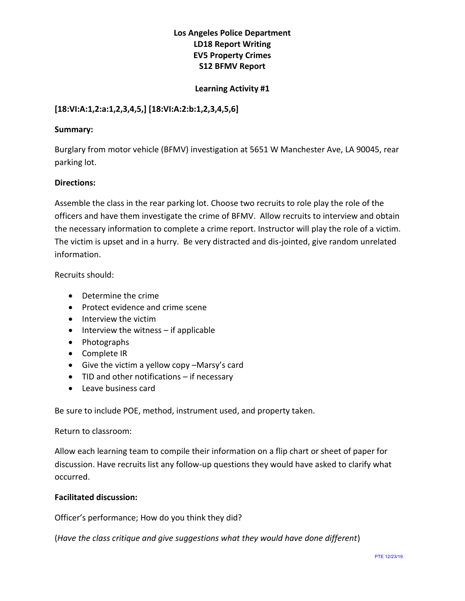# **Los Angeles Police Department LD18 Report Writing EV5 Property Crimes S12 BFMV Report**

### **Learning Activity #1**

## **[18:VI:A:1,2:a:1,2,3,4,5,] [18:VI:A:2:b:1,2,3,4,5,6]**

#### **Summary:**

Burglary from motor vehicle (BFMV) investigation at 5651 W Manchester Ave, LA 90045, rear parking lot.

#### **Directions:**

Assemble the class in the rear parking lot. Choose two recruits to role play the role of the officers and have them investigate the crime of BFMV. Allow recruits to interview and obtain the necessary information to complete a crime report. Instructor will play the role of a victim. The victim is upset and in a hurry. Be very distracted and dis-jointed, give random unrelated information.

Recruits should:

- Determine the crime
- Protect evidence and crime scene
- Interview the victim
- Interview the witness if applicable
- Photographs
- Complete IR
- Give the victim a yellow copy –Marsy's card
- TID and other notifications if necessary
- Leave business card

Be sure to include POE, method, instrument used, and property taken.

#### Return to classroom:

Allow each learning team to compile their information on a flip chart or sheet of paper for discussion. Have recruits list any follow-up questions they would have asked to clarify what occurred.

## **Facilitated discussion:**

Officer's performance; How do you think they did?

(*Have the class critique and give suggestions what they would have done different*)